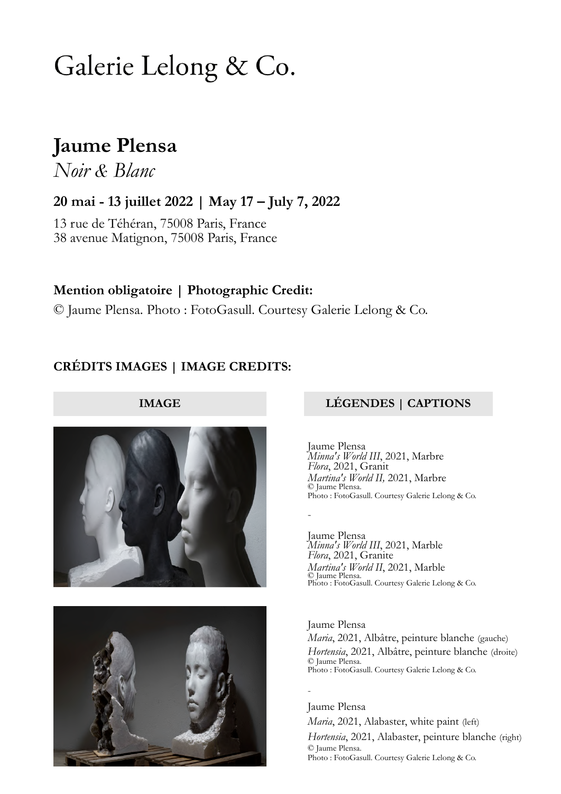# Galerie Lelong & Co.

## **Jaume Plensa**

*Noir & Blanc*

**20 mai - 13 juillet 2022 | May 17 – July 7, 2022**

13 rue de Téhéran, 75008 Paris, France 38 avenue Matignon, 75008 Paris, France

**Mention obligatoire | Photographic Credit:** © Jaume Plensa. Photo : FotoGasull. Courtesy Galerie Lelong & Co.

### **CRÉDITS IMAGES | IMAGE CREDITS:**



### **IMAGE LÉGENDES | CAPTIONS**

Jaume Plensa *Minna's World III*, 2021, Marbre *Flora*, 2021, Granit *Martina's World II,* 2021, Marbre © Jaume Plensa. Photo : FotoGasull. Courtesy Galerie Lelong & Co.

-

-

Jaume Plensa *Minna's World III*, 2021, Marble *Flora*, 2021, Granite *Martina's World II*, 2021, Marble © Jaume Plensa. Photo : FotoGasull. Courtesy Galerie Lelong & Co.

Jaume Plensa *Maria*, 2021, Albâtre, peinture blanche (gauche) *Hortensia*, 2021, Albâtre, peinture blanche (droite) © Jaume Plensa. Photo : FotoGasull. Courtesy Galerie Lelong & Co.

Jaume Plensa *Maria*, 2021, Alabaster, white paint (left) *Hortensia*, 2021, Alabaster, peinture blanche (right) © Jaume Plensa. Photo : FotoGasull. Courtesy Galerie Lelong & Co.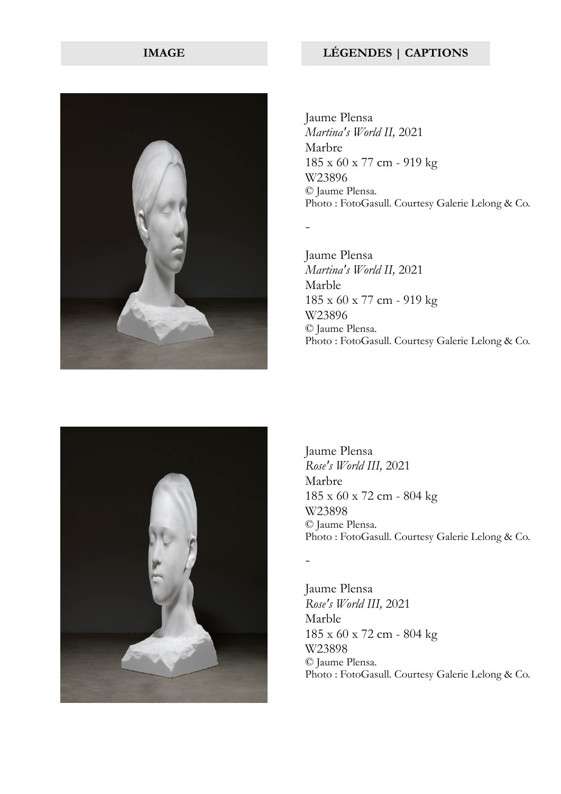

Jaume Plensa *Martina's World II,* 2021 Marbre 185 x 60 x 77 cm - 919 kg W23896 © Jaume Plensa. Photo : FotoGasull. Courtesy Galerie Lelong & Co.

-

-

Jaume Plensa *Martina's World II,* 2021 Marble 185 x 60 x 77 cm - 919 kg W23896 © Jaume Plensa. Photo : FotoGasull. Courtesy Galerie Lelong & Co.



Jaume Plensa *Rose's World III,* 2021 Marbre 185 x 60 x 72 cm - 804 kg W23898 © Jaume Plensa. Photo : FotoGasull. Courtesy Galerie Lelong & Co.

Jaume Plensa *Rose's World III,* 2021 Marble 185 x 60 x 72 cm - 804 kg W23898 © Jaume Plensa. Photo : FotoGasull. Courtesy Galerie Lelong & Co.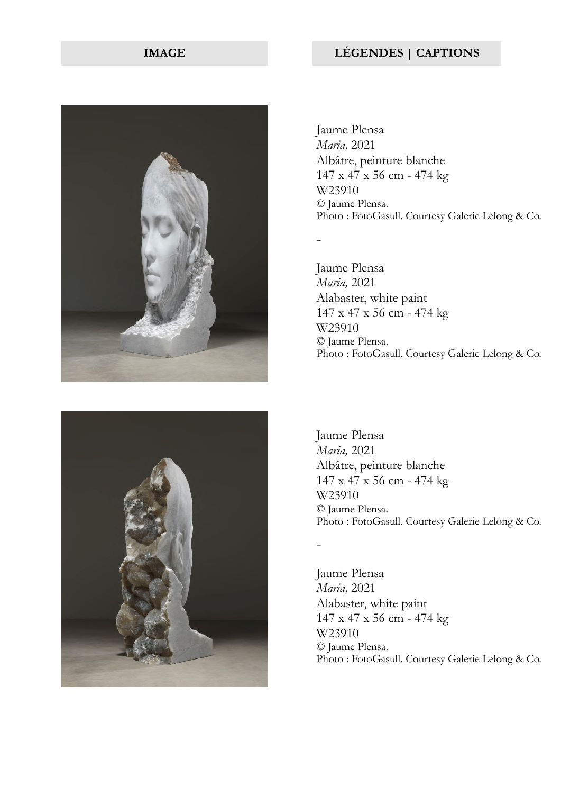

Jaume Plensa *Maria,* 2021 Albâtre, peinture blanche 147 x 47 x 56 cm - 474 kg W23910 © Jaume Plensa. Photo : FotoGasull. Courtesy Galerie Lelong & Co.

-

-

Jaume Plensa *Maria,* 2021 Alabaster, white paint 147 x 47 x 56 cm - 474 kg W23910 © Jaume Plensa. Photo : FotoGasull. Courtesy Galerie Lelong & Co.



Jaume Plensa *Maria,* 2021 Albâtre, peinture blanche 147 x 47 x 56 cm - 474 kg W23910 © Jaume Plensa. Photo : FotoGasull. Courtesy Galerie Lelong & Co.

Jaume Plensa *Maria,* 2021 Alabaster, white paint 147 x 47 x 56 cm - 474 kg W23910 © Jaume Plensa. Photo : FotoGasull. Courtesy Galerie Lelong & Co.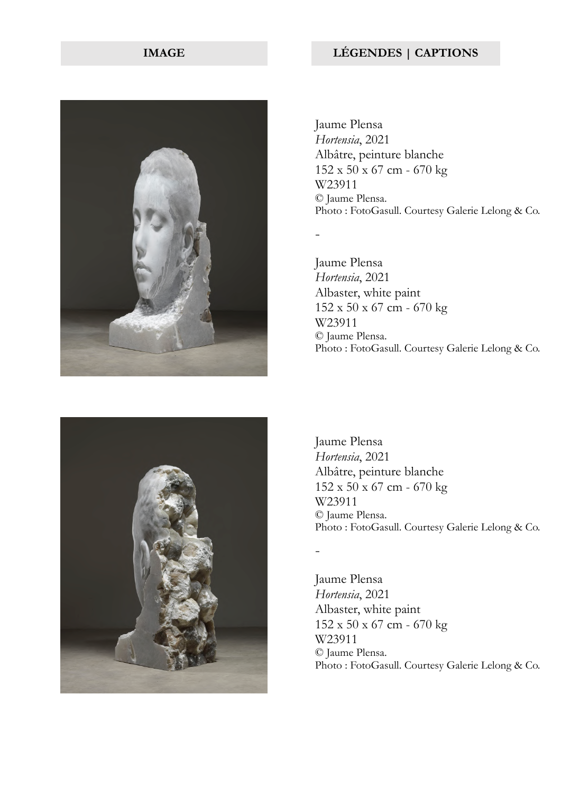

Jaume Plensa *Hortensia*, 2021 Albâtre, peinture blanche 152 x 50 x 67 cm - 670 kg W23911 © Jaume Plensa. Photo : FotoGasull. Courtesy Galerie Lelong & Co.

-

-

Jaume Plensa *Hortensia*, 2021 Albaster, white paint 152 x 50 x 67 cm - 670 kg W23911 © Jaume Plensa. Photo : FotoGasull. Courtesy Galerie Lelong & Co.



Jaume Plensa *Hortensia*, 2021 Albâtre, peinture blanche 152 x 50 x 67 cm - 670 kg W23911 © Jaume Plensa. Photo : FotoGasull. Courtesy Galerie Lelong & Co.

Jaume Plensa *Hortensia*, 2021 Albaster, white paint 152 x 50 x 67 cm - 670 kg W23911 © Jaume Plensa. Photo : FotoGasull. Courtesy Galerie Lelong & Co.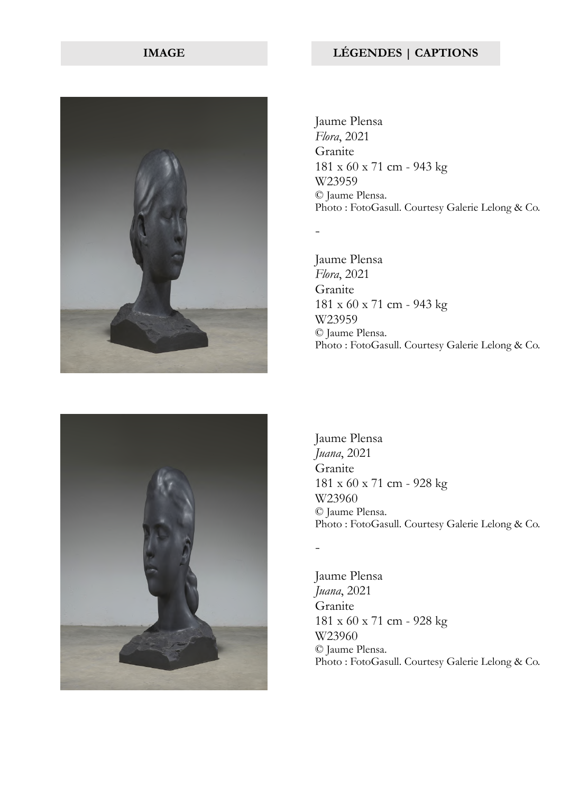

Jaume Plensa *Flora*, 2021 Granite 181 x 60 x 71 cm - 943 kg W23959 © Jaume Plensa. Photo : FotoGasull. Courtesy Galerie Lelong & Co.

Jaume Plensa *Flora*, 2021 Granite 181 x 60 x 71 cm - 943 kg W23959 © Jaume Plensa. Photo : FotoGasull. Courtesy Galerie Lelong & Co.



Jaume Plensa *Juana*, 2021 Granite 181 x 60 x 71 cm - 928 kg W23960 © Jaume Plensa. Photo : FotoGasull. Courtesy Galerie Lelong & Co.

-

-

Jaume Plensa *Juana*, 2021 Granite 181 x 60 x 71 cm - 928 kg W23960 © Jaume Plensa. Photo : FotoGasull. Courtesy Galerie Lelong & Co.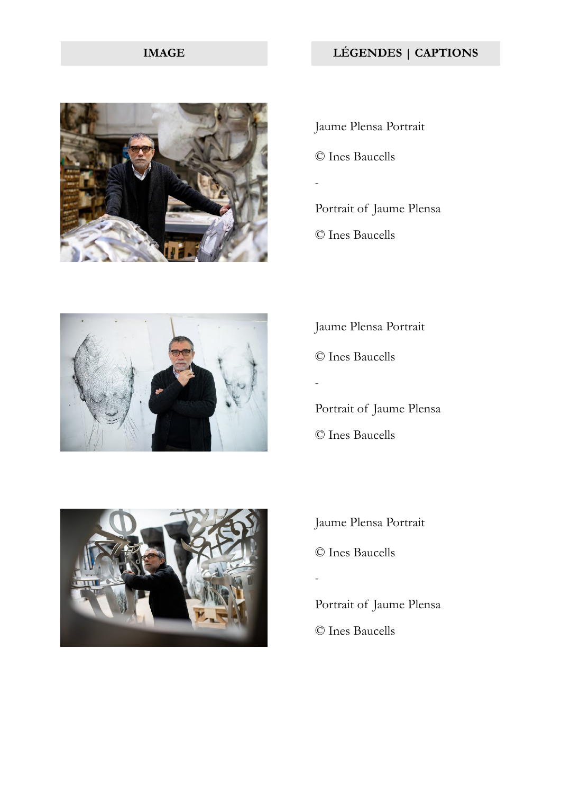

Jaume Plensa Portrait © Ines Baucells - Portrait of Jaume Plensa

© Ines Baucells



Jaume Plensa Portrait © Ines Baucells - Portrait of Jaume Plensa

© Ines Baucells



Jaume Plensa Portrait © Ines Baucells -

Portrait of Jaume Plensa © Ines Baucells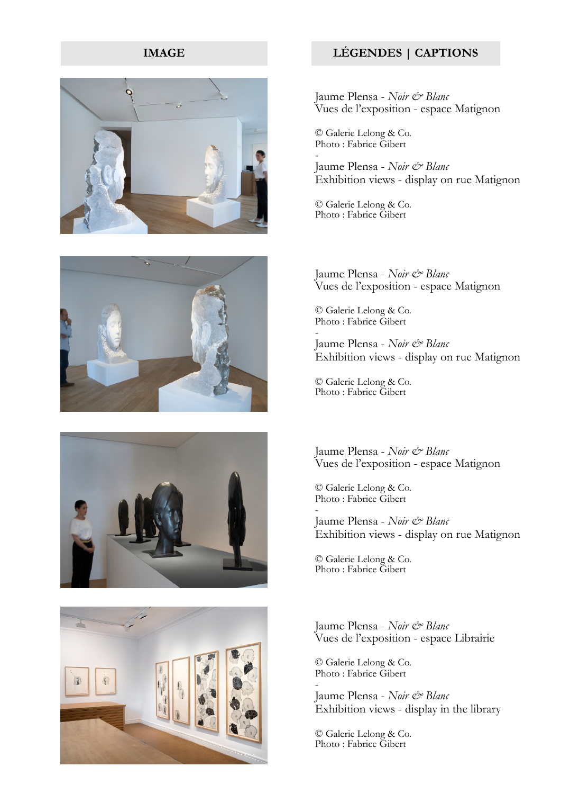







Jaume Plensa - *Noir & Blanc* Vues de l'exposition - espace Matignon

© Galerie Lelong & Co. Photo : Fabrice Gibert -

Jaume Plensa - *Noir & Blanc*  Exhibition views - display on rue Matignon

© Galerie Lelong & Co. Photo : Fabrice Gibert

Jaume Plensa - *Noir & Blanc* Vues de l'exposition - espace Matignon

© Galerie Lelong & Co. Photo : Fabrice Gibert

- Jaume Plensa - *Noir & Blanc*  Exhibition views - display on rue Matignon

© Galerie Lelong & Co. Photo : Fabrice Gibert

Jaume Plensa - *Noir & Blanc* Vues de l'exposition - espace Matignon

© Galerie Lelong & Co. Photo : Fabrice Gibert

- Jaume Plensa - *Noir & Blanc*  Exhibition views - display on rue Matignon

© Galerie Lelong & Co. Photo : Fabrice Gibert

Jaume Plensa - *Noir & Blanc* Vues de l'exposition - espace Librairie

© Galerie Lelong & Co. Photo : Fabrice Gibert -

Jaume Plensa - *Noir & Blanc*  Exhibition views - display in the library

© Galerie Lelong & Co. Photo : Fabrice Gibert